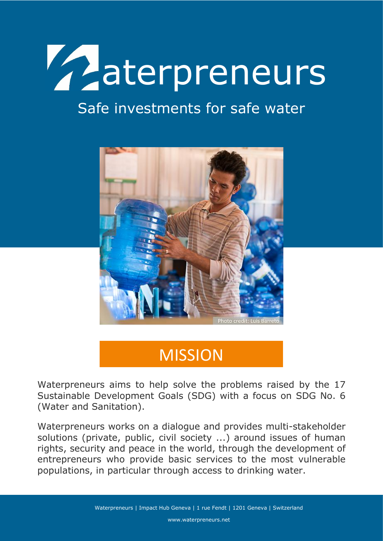

## Safe investments for safe water



# **MISSION**

Waterpreneurs aims to help solve the problems raised by the 17 Sustainable Development Goals (SDG) with a focus on SDG No. 6 (Water and Sanitation).

Waterpreneurs works on a dialogue and provides multi-stakeholder solutions (private, public, civil society ...) around issues of human rights, security and peace in the world, through the development of entrepreneurs who provide basic services to the most vulnerable populations, in particular through access to drinking water.